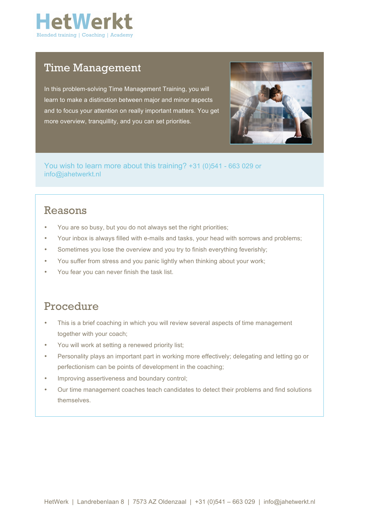

## Time Management

In this problem-solving Time Management Training, you will learn to make a distinction between major and minor aspects and to focus your attention on really important matters. You get more overview, tranquillity, and you can set priorities.



You wish to learn more about this training? +31 (0)541 - 663 029 or info@jahetwerkt.nl

#### Reasons

- You are so busy, but you do not always set the right priorities;
- Your inbox is always filled with e-mails and tasks, your head with sorrows and problems;
- Sometimes you lose the overview and you try to finish everything feverishly;
- You suffer from stress and you panic lightly when thinking about your work;
- You fear you can never finish the task list.

### Procedure

- This is a brief coaching in which you will review several aspects of time management together with your coach;
- You will work at setting a renewed priority list;
- Personality plays an important part in working more effectively; delegating and letting go or perfectionism can be points of development in the coaching;
- Improving assertiveness and boundary control;
- Our time management coaches teach candidates to detect their problems and find solutions themselves.